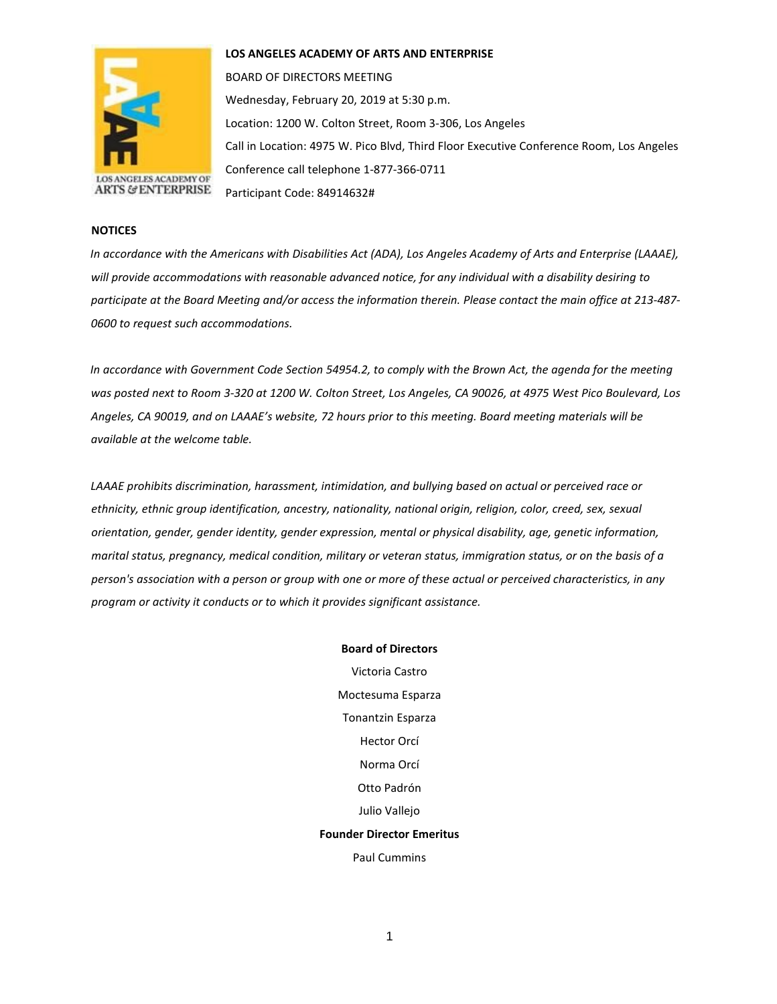

**LOS ANGELES ACADEMY OF ARTS AND ENTERPRISE** 

BOARD OF DIRECTORS MEETING Wednesday, February 20, 2019 at 5:30 p.m. Location: 1200 W. Colton Street, Room 3-306, Los Angeles Call in Location: 4975 W. Pico Blvd, Third Floor Executive Conference Room, Los Angeles Conference call telephone 1-877-366-0711 Participant Code: 84914632#

## **NOTICES**

*In accordance with the Americans with Disabilities Act (ADA), Los Angeles Academy of Arts and Enterprise (LAAAE), will provide accommodations with reasonable advanced notice, for any individual with a disability desiring to participate at the Board Meeting and/or access the information therein. Please contact the main office at 213-487- 0600 to request such accommodations.* 

*In accordance with Government Code Section 54954.2, to comply with the Brown Act, the agenda for the meeting was posted next to Room 3-320 at 1200 W. Colton Street, Los Angeles, CA 90026, at 4975 West Pico Boulevard, Los Angeles, CA 90019, and on LAAAE's website, 72 hours prior to this meeting. Board meeting materials will be available at the welcome table.* 

*LAAAE prohibits discrimination, harassment, intimidation, and bullying based on actual or perceived race or ethnicity, ethnic group identification, ancestry, nationality, national origin, religion, color, creed, sex, sexual orientation, gender, gender identity, gender expression, mental or physical disability, age, genetic information, marital status, pregnancy, medical condition, military or veteran status, immigration status, or on the basis of a person's association with a person or group with one or more of these actual or perceived characteristics, in any program or activity it conducts or to which it provides significant assistance.*

> **Board of Directors** Victoria Castro Moctesuma Esparza Tonantzin Esparza Hector Orcí Norma Orcí Otto Padrón Julio Vallejo **Founder Director Emeritus** Paul Cummins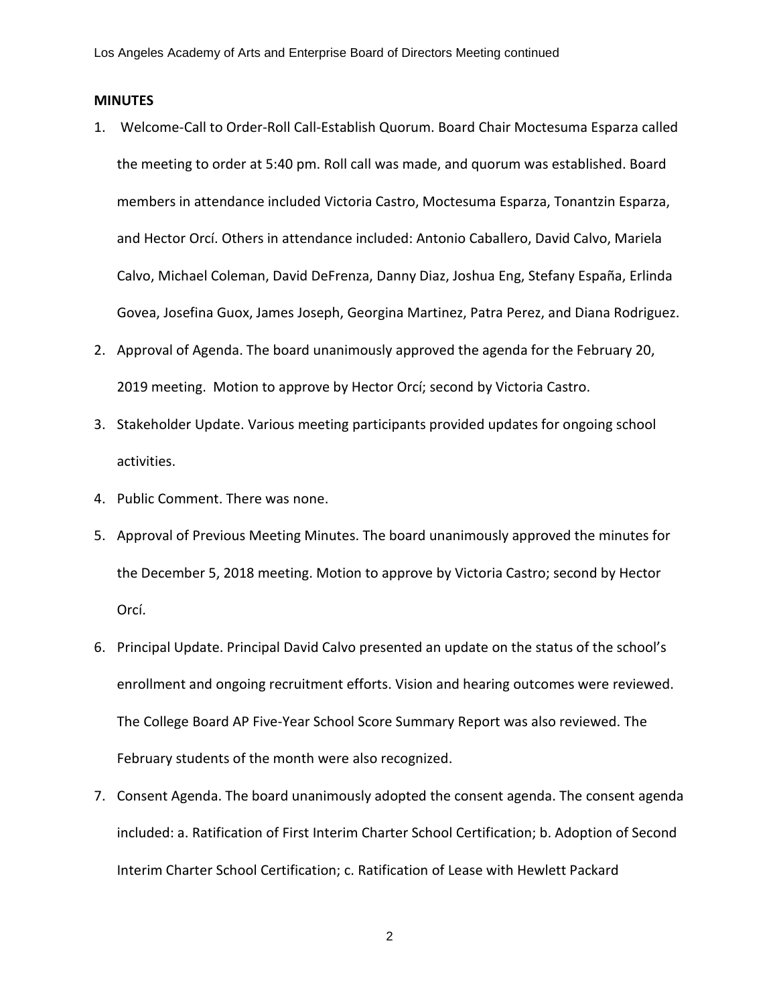## **MINUTES**

- 1. Welcome-Call to Order-Roll Call-Establish Quorum. Board Chair Moctesuma Esparza called the meeting to order at 5:40 pm. Roll call was made, and quorum was established. Board members in attendance included Victoria Castro, Moctesuma Esparza, Tonantzin Esparza, and Hector Orcí. Others in attendance included: Antonio Caballero, David Calvo, Mariela Calvo, Michael Coleman, David DeFrenza, Danny Diaz, Joshua Eng, Stefany España, Erlinda Govea, Josefina Guox, James Joseph, Georgina Martinez, Patra Perez, and Diana Rodriguez.
- 2. Approval of Agenda. The board unanimously approved the agenda for the February 20, 2019 meeting. Motion to approve by Hector Orcí; second by Victoria Castro.
- 3. Stakeholder Update. Various meeting participants provided updates for ongoing school activities.
- 4. Public Comment. There was none.
- 5. Approval of Previous Meeting Minutes. The board unanimously approved the minutes for the December 5, 2018 meeting. Motion to approve by Victoria Castro; second by Hector Orcí.
- 6. Principal Update. Principal David Calvo presented an update on the status of the school's enrollment and ongoing recruitment efforts. Vision and hearing outcomes were reviewed. The College Board AP Five-Year School Score Summary Report was also reviewed. The February students of the month were also recognized.
- 7. Consent Agenda. The board unanimously adopted the consent agenda. The consent agenda included: a. Ratification of First Interim Charter School Certification; b. Adoption of Second Interim Charter School Certification; c. Ratification of Lease with Hewlett Packard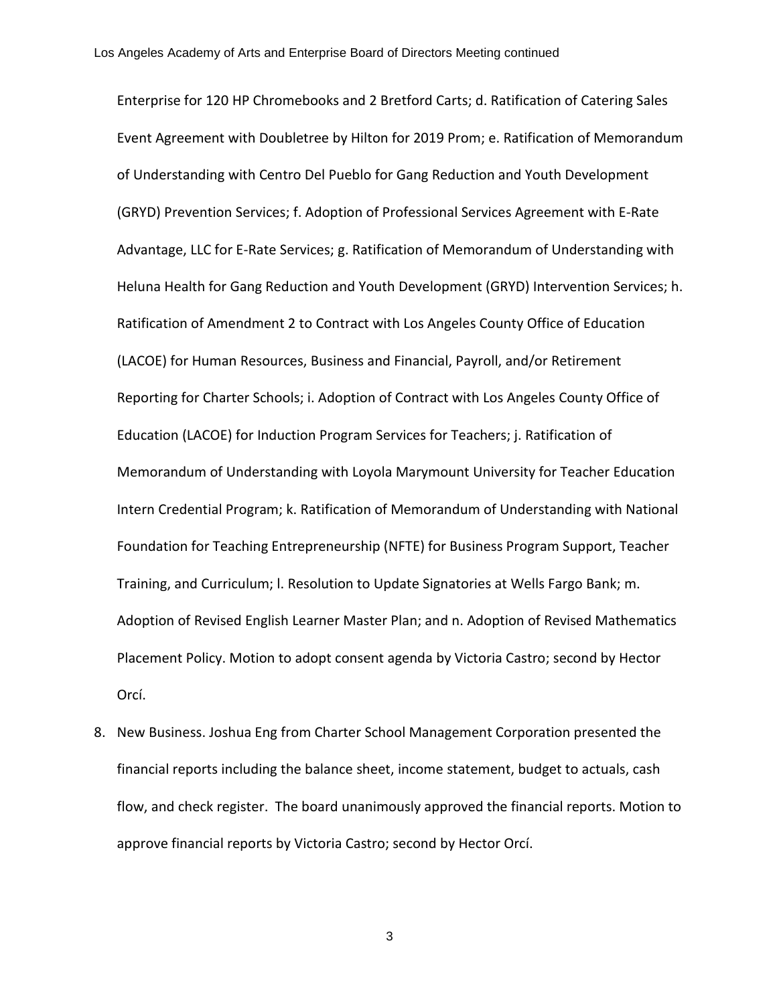Enterprise for 120 HP Chromebooks and 2 Bretford Carts; d. Ratification of Catering Sales Event Agreement with Doubletree by Hilton for 2019 Prom; e. Ratification of Memorandum of Understanding with Centro Del Pueblo for Gang Reduction and Youth Development (GRYD) Prevention Services; f. Adoption of Professional Services Agreement with E-Rate Advantage, LLC for E-Rate Services; g. Ratification of Memorandum of Understanding with Heluna Health for Gang Reduction and Youth Development (GRYD) Intervention Services; h. Ratification of Amendment 2 to Contract with Los Angeles County Office of Education (LACOE) for Human Resources, Business and Financial, Payroll, and/or Retirement Reporting for Charter Schools; i. Adoption of Contract with Los Angeles County Office of Education (LACOE) for Induction Program Services for Teachers; j. Ratification of Memorandum of Understanding with Loyola Marymount University for Teacher Education Intern Credential Program; k. Ratification of Memorandum of Understanding with National Foundation for Teaching Entrepreneurship (NFTE) for Business Program Support, Teacher Training, and Curriculum; l. Resolution to Update Signatories at Wells Fargo Bank; m. Adoption of Revised English Learner Master Plan; and n. Adoption of Revised Mathematics Placement Policy. Motion to adopt consent agenda by Victoria Castro; second by Hector Orcí.

8. New Business. Joshua Eng from Charter School Management Corporation presented the financial reports including the balance sheet, income statement, budget to actuals, cash flow, and check register. The board unanimously approved the financial reports. Motion to approve financial reports by Victoria Castro; second by Hector Orcí.

3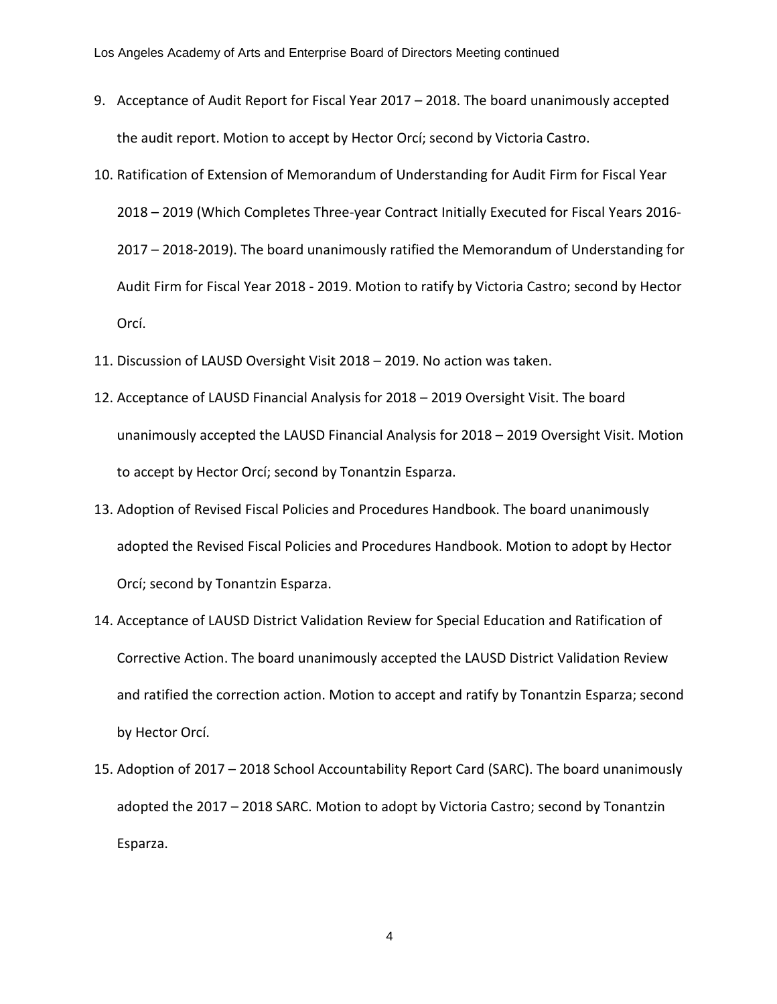- 9. Acceptance of Audit Report for Fiscal Year 2017 2018. The board unanimously accepted the audit report. Motion to accept by Hector Orcí; second by Victoria Castro.
- 10. Ratification of Extension of Memorandum of Understanding for Audit Firm for Fiscal Year 2018 – 2019 (Which Completes Three-year Contract Initially Executed for Fiscal Years 2016- 2017 – 2018-2019). The board unanimously ratified the Memorandum of Understanding for Audit Firm for Fiscal Year 2018 - 2019. Motion to ratify by Victoria Castro; second by Hector Orcí.
- 11. Discussion of LAUSD Oversight Visit 2018 2019. No action was taken.
- 12. Acceptance of LAUSD Financial Analysis for 2018 2019 Oversight Visit. The board unanimously accepted the LAUSD Financial Analysis for 2018 – 2019 Oversight Visit. Motion to accept by Hector Orcí; second by Tonantzin Esparza.
- 13. Adoption of Revised Fiscal Policies and Procedures Handbook. The board unanimously adopted the Revised Fiscal Policies and Procedures Handbook. Motion to adopt by Hector Orcí; second by Tonantzin Esparza.
- 14. Acceptance of LAUSD District Validation Review for Special Education and Ratification of Corrective Action. The board unanimously accepted the LAUSD District Validation Review and ratified the correction action. Motion to accept and ratify by Tonantzin Esparza; second by Hector Orcí.
- 15. Adoption of 2017 2018 School Accountability Report Card (SARC). The board unanimously adopted the 2017 – 2018 SARC. Motion to adopt by Victoria Castro; second by Tonantzin Esparza.